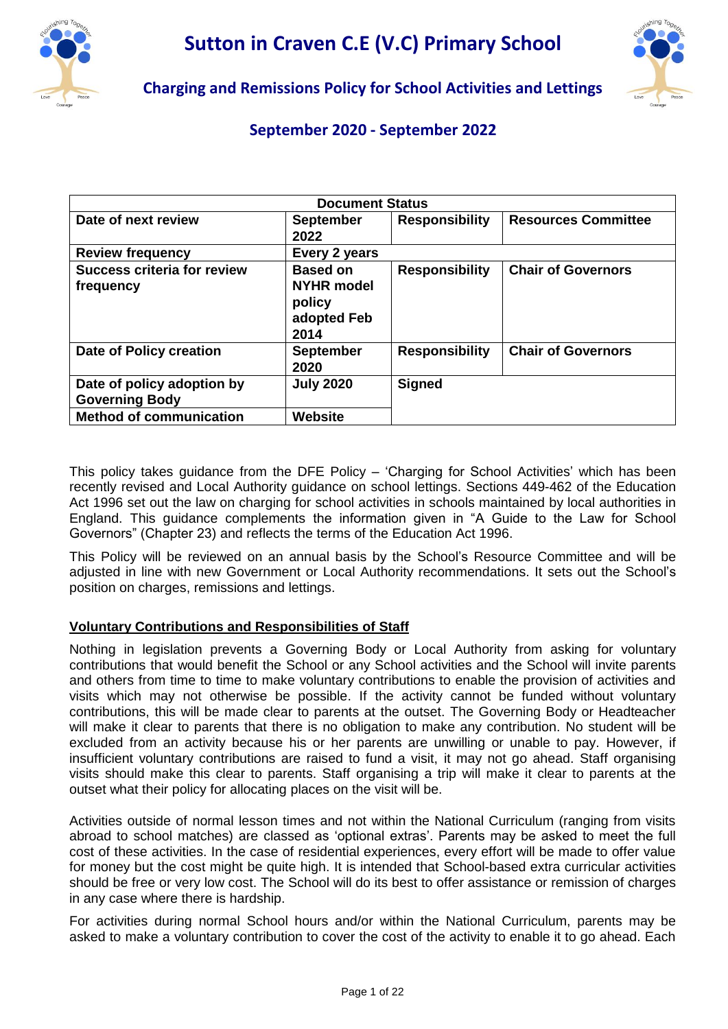



# **Charging and Remissions Policy for School Activities and Lettings**

# **September 2020 - September 2022**

| <b>Document Status</b>                              |                                                                       |                       |                            |  |  |
|-----------------------------------------------------|-----------------------------------------------------------------------|-----------------------|----------------------------|--|--|
| Date of next review                                 | <b>September</b><br>2022                                              | <b>Responsibility</b> | <b>Resources Committee</b> |  |  |
| <b>Review frequency</b>                             | Every 2 years                                                         |                       |                            |  |  |
| <b>Success criteria for review</b><br>frequency     | <b>Based on</b><br><b>NYHR</b> model<br>policy<br>adopted Feb<br>2014 | <b>Responsibility</b> | <b>Chair of Governors</b>  |  |  |
| Date of Policy creation                             | <b>September</b><br>2020                                              | <b>Responsibility</b> | <b>Chair of Governors</b>  |  |  |
| Date of policy adoption by<br><b>Governing Body</b> | <b>July 2020</b>                                                      | <b>Signed</b>         |                            |  |  |
| <b>Method of communication</b>                      | Website                                                               |                       |                            |  |  |

This policy takes guidance from the DFE Policy – 'Charging for School Activities' which has been recently revised and Local Authority guidance on school lettings. Sections 449-462 of the Education Act 1996 set out the law on charging for school activities in schools maintained by local authorities in England. This guidance complements the information given in "A Guide to the Law for School Governors" (Chapter 23) and reflects the terms of the Education Act 1996.

This Policy will be reviewed on an annual basis by the School's Resource Committee and will be adjusted in line with new Government or Local Authority recommendations. It sets out the School's position on charges, remissions and lettings.

# **Voluntary Contributions and Responsibilities of Staff**

Nothing in legislation prevents a Governing Body or Local Authority from asking for voluntary contributions that would benefit the School or any School activities and the School will invite parents and others from time to time to make voluntary contributions to enable the provision of activities and visits which may not otherwise be possible. If the activity cannot be funded without voluntary contributions, this will be made clear to parents at the outset. The Governing Body or Headteacher will make it clear to parents that there is no obligation to make any contribution. No student will be excluded from an activity because his or her parents are unwilling or unable to pay. However, if insufficient voluntary contributions are raised to fund a visit, it may not go ahead. Staff organising visits should make this clear to parents. Staff organising a trip will make it clear to parents at the outset what their policy for allocating places on the visit will be.

Activities outside of normal lesson times and not within the National Curriculum (ranging from visits abroad to school matches) are classed as 'optional extras'. Parents may be asked to meet the full cost of these activities. In the case of residential experiences, every effort will be made to offer value for money but the cost might be quite high. It is intended that School-based extra curricular activities should be free or very low cost. The School will do its best to offer assistance or remission of charges in any case where there is hardship.

For activities during normal School hours and/or within the National Curriculum, parents may be asked to make a voluntary contribution to cover the cost of the activity to enable it to go ahead. Each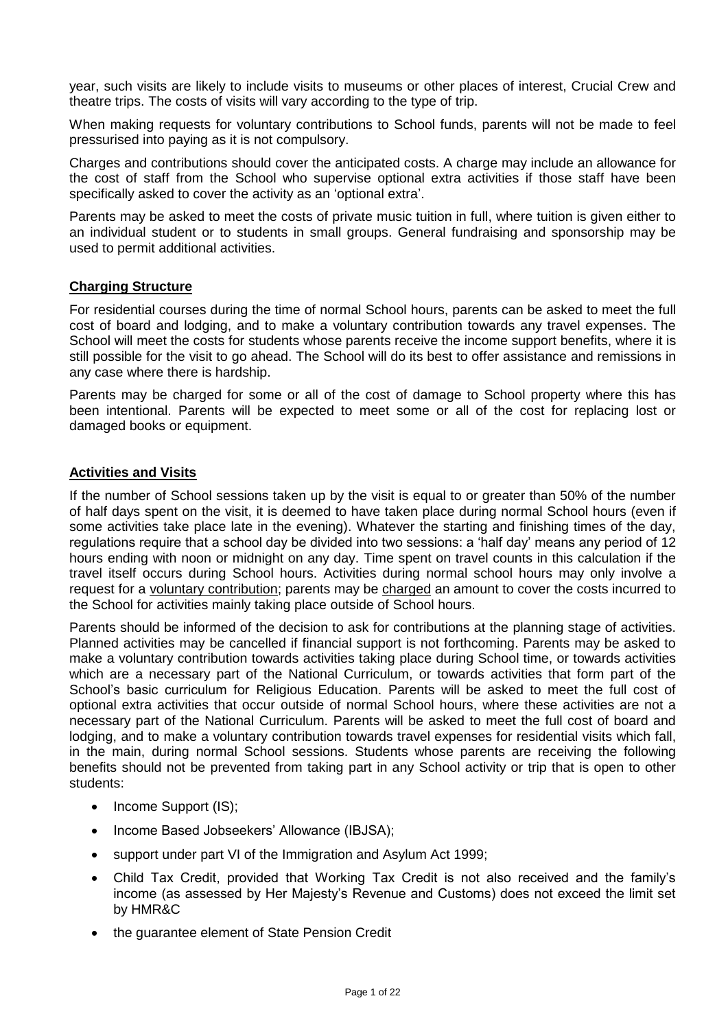year, such visits are likely to include visits to museums or other places of interest, Crucial Crew and theatre trips. The costs of visits will vary according to the type of trip.

When making requests for voluntary contributions to School funds, parents will not be made to feel pressurised into paying as it is not compulsory.

Charges and contributions should cover the anticipated costs. A charge may include an allowance for the cost of staff from the School who supervise optional extra activities if those staff have been specifically asked to cover the activity as an 'optional extra'.

Parents may be asked to meet the costs of private music tuition in full, where tuition is given either to an individual student or to students in small groups. General fundraising and sponsorship may be used to permit additional activities.

#### **Charging Structure**

For residential courses during the time of normal School hours, parents can be asked to meet the full cost of board and lodging, and to make a voluntary contribution towards any travel expenses. The School will meet the costs for students whose parents receive the income support benefits, where it is still possible for the visit to go ahead. The School will do its best to offer assistance and remissions in any case where there is hardship.

Parents may be charged for some or all of the cost of damage to School property where this has been intentional. Parents will be expected to meet some or all of the cost for replacing lost or damaged books or equipment.

#### **Activities and Visits**

If the number of School sessions taken up by the visit is equal to or greater than 50% of the number of half days spent on the visit, it is deemed to have taken place during normal School hours (even if some activities take place late in the evening). Whatever the starting and finishing times of the day, regulations require that a school day be divided into two sessions: a 'half day' means any period of 12 hours ending with noon or midnight on any day. Time spent on travel counts in this calculation if the travel itself occurs during School hours. Activities during normal school hours may only involve a request for a voluntary contribution; parents may be charged an amount to cover the costs incurred to the School for activities mainly taking place outside of School hours.

Parents should be informed of the decision to ask for contributions at the planning stage of activities. Planned activities may be cancelled if financial support is not forthcoming. Parents may be asked to make a voluntary contribution towards activities taking place during School time, or towards activities which are a necessary part of the National Curriculum, or towards activities that form part of the School's basic curriculum for Religious Education. Parents will be asked to meet the full cost of optional extra activities that occur outside of normal School hours, where these activities are not a necessary part of the National Curriculum. Parents will be asked to meet the full cost of board and lodging, and to make a voluntary contribution towards travel expenses for residential visits which fall, in the main, during normal School sessions. Students whose parents are receiving the following benefits should not be prevented from taking part in any School activity or trip that is open to other students:

- Income Support (IS);
- Income Based Jobseekers' Allowance (IBJSA);
- support under part VI of the Immigration and Asylum Act 1999;
- Child Tax Credit, provided that Working Tax Credit is not also received and the family's income (as assessed by Her Majesty's Revenue and Customs) does not exceed the limit set by HMR&C
- the guarantee element of State Pension Credit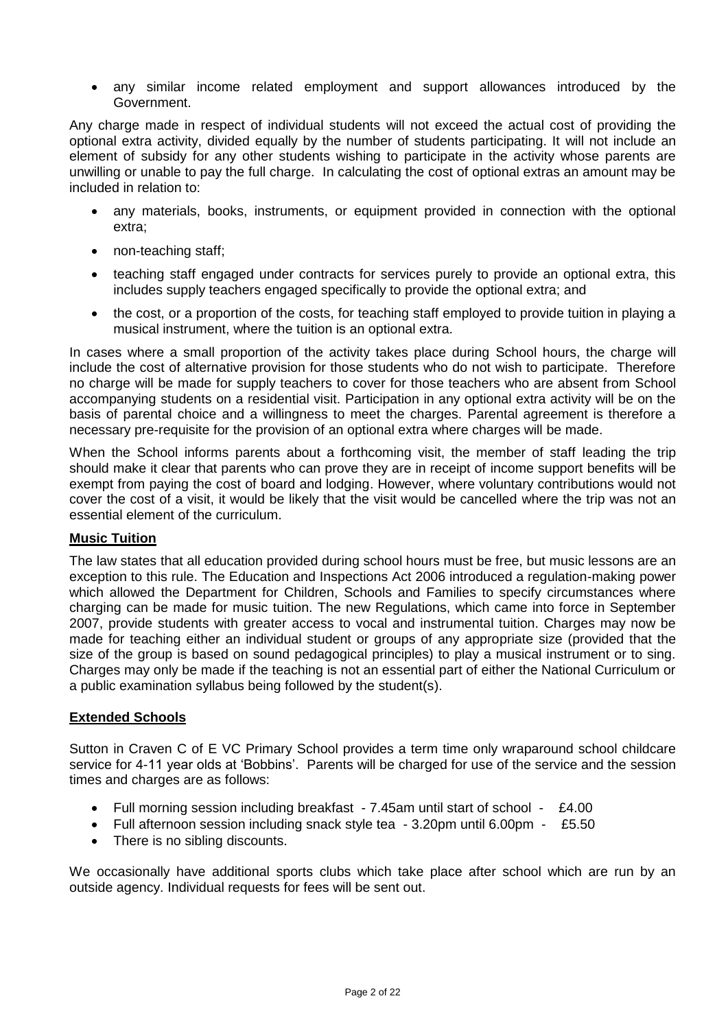any similar income related employment and support allowances introduced by the Government.

Any charge made in respect of individual students will not exceed the actual cost of providing the optional extra activity, divided equally by the number of students participating. It will not include an element of subsidy for any other students wishing to participate in the activity whose parents are unwilling or unable to pay the full charge. In calculating the cost of optional extras an amount may be included in relation to:

- any materials, books, instruments, or equipment provided in connection with the optional extra;
- non-teaching staff;
- teaching staff engaged under contracts for services purely to provide an optional extra, this includes supply teachers engaged specifically to provide the optional extra; and
- the cost, or a proportion of the costs, for teaching staff employed to provide tuition in playing a musical instrument, where the tuition is an optional extra.

In cases where a small proportion of the activity takes place during School hours, the charge will include the cost of alternative provision for those students who do not wish to participate. Therefore no charge will be made for supply teachers to cover for those teachers who are absent from School accompanying students on a residential visit. Participation in any optional extra activity will be on the basis of parental choice and a willingness to meet the charges. Parental agreement is therefore a necessary pre-requisite for the provision of an optional extra where charges will be made.

When the School informs parents about a forthcoming visit, the member of staff leading the trip should make it clear that parents who can prove they are in receipt of income support benefits will be exempt from paying the cost of board and lodging. However, where voluntary contributions would not cover the cost of a visit, it would be likely that the visit would be cancelled where the trip was not an essential element of the curriculum.

#### **Music Tuition**

The law states that all education provided during school hours must be free, but music lessons are an exception to this rule. The Education and Inspections Act 2006 introduced a regulation-making power which allowed the Department for Children, Schools and Families to specify circumstances where charging can be made for music tuition. The new Regulations, which came into force in September 2007, provide students with greater access to vocal and instrumental tuition. Charges may now be made for teaching either an individual student or groups of any appropriate size (provided that the size of the group is based on sound pedagogical principles) to play a musical instrument or to sing. Charges may only be made if the teaching is not an essential part of either the National Curriculum or a public examination syllabus being followed by the student(s).

#### **Extended Schools**

Sutton in Craven C of E VC Primary School provides a term time only wraparound school childcare service for 4-11 year olds at 'Bobbins'. Parents will be charged for use of the service and the session times and charges are as follows:

- Full morning session including breakfast 7.45am until start of school £4.00
- Full afternoon session including snack style tea 3.20pm until 6.00pm £5.50
- There is no sibling discounts.

We occasionally have additional sports clubs which take place after school which are run by an outside agency. Individual requests for fees will be sent out.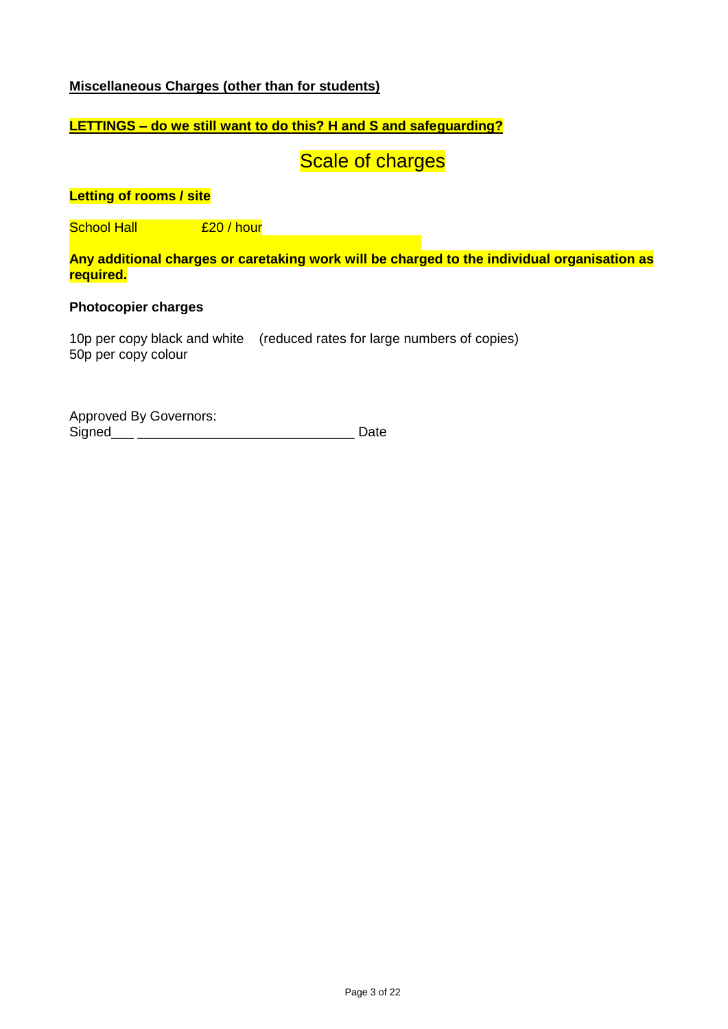## **Miscellaneous Charges (other than for students)**

# **LETTINGS – do we still want to do this? H and S and safeguarding?**

**Scale of charges** 

#### **Letting of rooms / site**

School Hall et al. 20 / hour et al. 20 / hour et al. 20 / hour et al. 20 / hour et al. 20 / hour et al. 20 / h

**Any additional charges or caretaking work will be charged to the individual organisation as required.**

#### **Photocopier charges**

10p per copy black and white (reduced rates for large numbers of copies) 50p per copy colour

Approved By Governors: Signed\_\_\_ \_\_\_\_\_\_\_\_\_\_\_\_\_\_\_\_\_\_\_\_\_\_\_\_\_\_\_\_\_ Date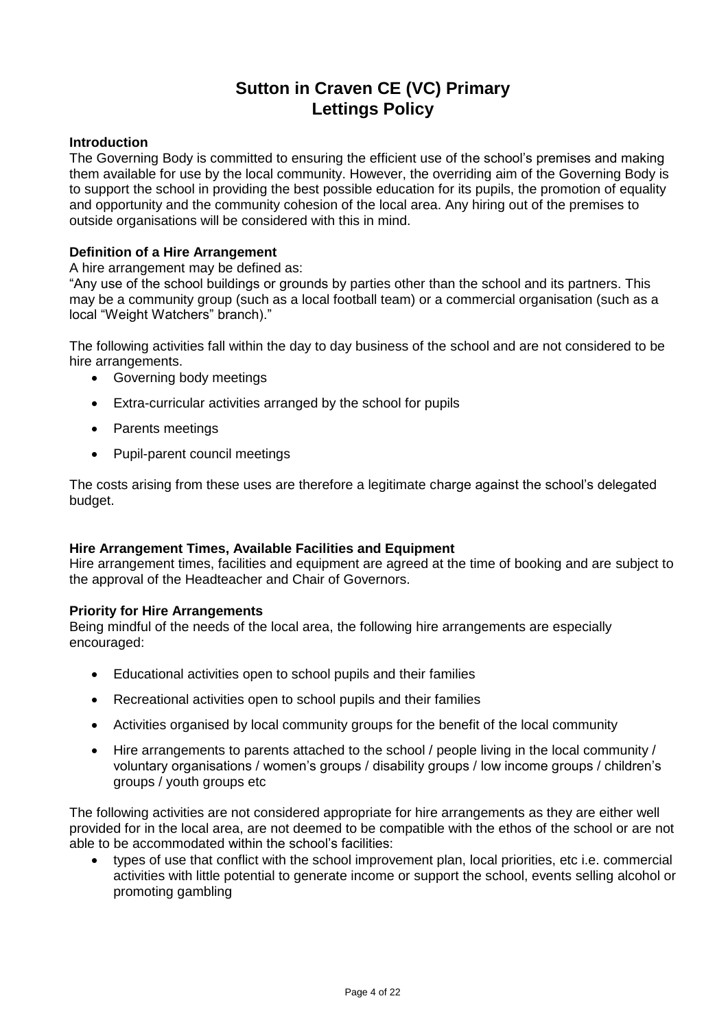# **Sutton in Craven CE (VC) Primary Lettings Policy**

#### **Introduction**

The Governing Body is committed to ensuring the efficient use of the school's premises and making them available for use by the local community. However, the overriding aim of the Governing Body is to support the school in providing the best possible education for its pupils, the promotion of equality and opportunity and the community cohesion of the local area. Any hiring out of the premises to outside organisations will be considered with this in mind.

#### **Definition of a Hire Arrangement**

A hire arrangement may be defined as:

"Any use of the school buildings or grounds by parties other than the school and its partners. This may be a community group (such as a local football team) or a commercial organisation (such as a local "Weight Watchers" branch)."

The following activities fall within the day to day business of the school and are not considered to be hire arrangements.

- Governing body meetings
- Extra-curricular activities arranged by the school for pupils
- Parents meetings
- Pupil-parent council meetings

The costs arising from these uses are therefore a legitimate charge against the school's delegated budget.

#### **Hire Arrangement Times, Available Facilities and Equipment**

Hire arrangement times, facilities and equipment are agreed at the time of booking and are subject to the approval of the Headteacher and Chair of Governors.

#### **Priority for Hire Arrangements**

Being mindful of the needs of the local area, the following hire arrangements are especially encouraged:

- Educational activities open to school pupils and their families
- Recreational activities open to school pupils and their families
- Activities organised by local community groups for the benefit of the local community
- Hire arrangements to parents attached to the school / people living in the local community / voluntary organisations / women's groups / disability groups / low income groups / children's groups / youth groups etc

The following activities are not considered appropriate for hire arrangements as they are either well provided for in the local area, are not deemed to be compatible with the ethos of the school or are not able to be accommodated within the school's facilities:

 types of use that conflict with the school improvement plan, local priorities, etc i.e. commercial activities with little potential to generate income or support the school, events selling alcohol or promoting gambling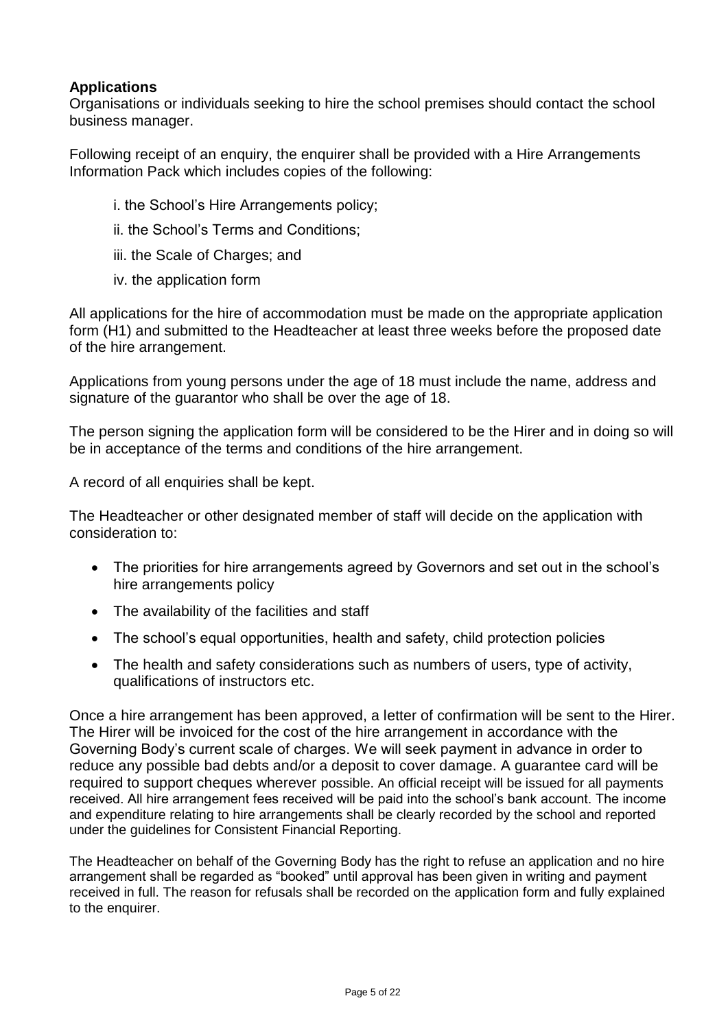# **Applications**

Organisations or individuals seeking to hire the school premises should contact the school business manager.

Following receipt of an enquiry, the enquirer shall be provided with a Hire Arrangements Information Pack which includes copies of the following:

- i. the School's Hire Arrangements policy;
- ii. the School's Terms and Conditions;
- iii. the Scale of Charges; and
- iv. the application form

All applications for the hire of accommodation must be made on the appropriate application form (H1) and submitted to the Headteacher at least three weeks before the proposed date of the hire arrangement.

Applications from young persons under the age of 18 must include the name, address and signature of the guarantor who shall be over the age of 18.

The person signing the application form will be considered to be the Hirer and in doing so will be in acceptance of the terms and conditions of the hire arrangement.

A record of all enquiries shall be kept.

The Headteacher or other designated member of staff will decide on the application with consideration to:

- The priorities for hire arrangements agreed by Governors and set out in the school's hire arrangements policy
- The availability of the facilities and staff
- The school's equal opportunities, health and safety, child protection policies
- The health and safety considerations such as numbers of users, type of activity, qualifications of instructors etc.

Once a hire arrangement has been approved, a letter of confirmation will be sent to the Hirer. The Hirer will be invoiced for the cost of the hire arrangement in accordance with the Governing Body's current scale of charges. We will seek payment in advance in order to reduce any possible bad debts and/or a deposit to cover damage. A guarantee card will be required to support cheques wherever possible. An official receipt will be issued for all payments received. All hire arrangement fees received will be paid into the school's bank account. The income and expenditure relating to hire arrangements shall be clearly recorded by the school and reported under the guidelines for Consistent Financial Reporting.

The Headteacher on behalf of the Governing Body has the right to refuse an application and no hire arrangement shall be regarded as "booked" until approval has been given in writing and payment received in full. The reason for refusals shall be recorded on the application form and fully explained to the enquirer.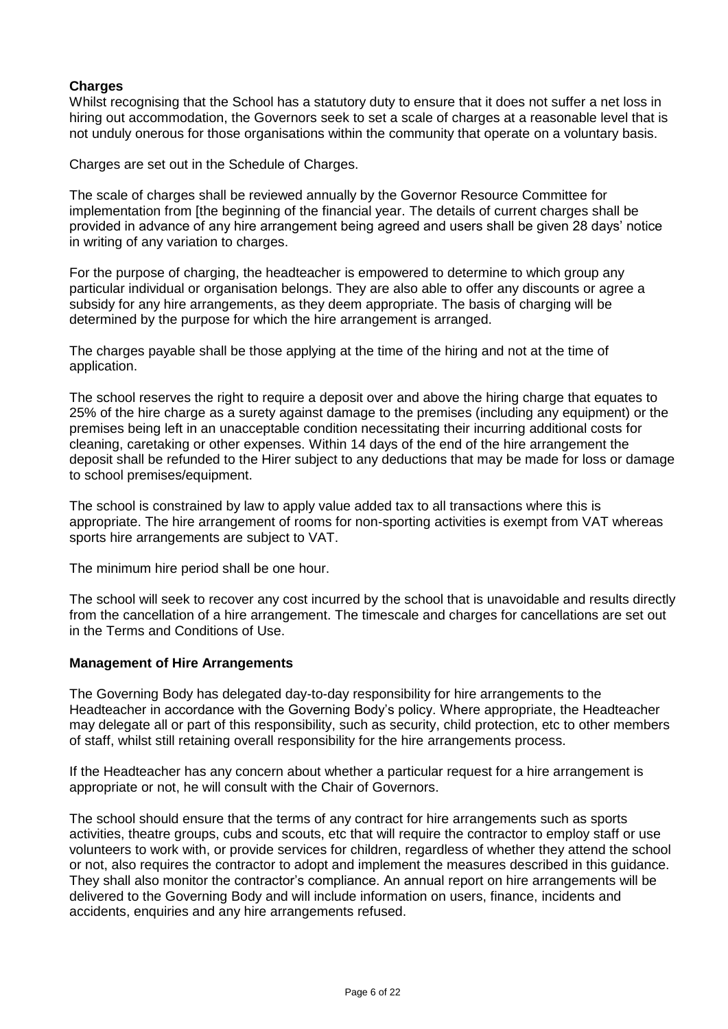## **Charges**

Whilst recognising that the School has a statutory duty to ensure that it does not suffer a net loss in hiring out accommodation, the Governors seek to set a scale of charges at a reasonable level that is not unduly onerous for those organisations within the community that operate on a voluntary basis.

Charges are set out in the Schedule of Charges.

The scale of charges shall be reviewed annually by the Governor Resource Committee for implementation from [the beginning of the financial year. The details of current charges shall be provided in advance of any hire arrangement being agreed and users shall be given 28 days' notice in writing of any variation to charges.

For the purpose of charging, the headteacher is empowered to determine to which group any particular individual or organisation belongs. They are also able to offer any discounts or agree a subsidy for any hire arrangements, as they deem appropriate. The basis of charging will be determined by the purpose for which the hire arrangement is arranged.

The charges payable shall be those applying at the time of the hiring and not at the time of application.

The school reserves the right to require a deposit over and above the hiring charge that equates to 25% of the hire charge as a surety against damage to the premises (including any equipment) or the premises being left in an unacceptable condition necessitating their incurring additional costs for cleaning, caretaking or other expenses. Within 14 days of the end of the hire arrangement the deposit shall be refunded to the Hirer subject to any deductions that may be made for loss or damage to school premises/equipment.

The school is constrained by law to apply value added tax to all transactions where this is appropriate. The hire arrangement of rooms for non-sporting activities is exempt from VAT whereas sports hire arrangements are subject to VAT.

The minimum hire period shall be one hour.

The school will seek to recover any cost incurred by the school that is unavoidable and results directly from the cancellation of a hire arrangement. The timescale and charges for cancellations are set out in the Terms and Conditions of Use.

#### **Management of Hire Arrangements**

The Governing Body has delegated day-to-day responsibility for hire arrangements to the Headteacher in accordance with the Governing Body's policy. Where appropriate, the Headteacher may delegate all or part of this responsibility, such as security, child protection, etc to other members of staff, whilst still retaining overall responsibility for the hire arrangements process.

If the Headteacher has any concern about whether a particular request for a hire arrangement is appropriate or not, he will consult with the Chair of Governors.

The school should ensure that the terms of any contract for hire arrangements such as sports activities, theatre groups, cubs and scouts, etc that will require the contractor to employ staff or use volunteers to work with, or provide services for children, regardless of whether they attend the school or not, also requires the contractor to adopt and implement the measures described in this guidance. They shall also monitor the contractor's compliance. An annual report on hire arrangements will be delivered to the Governing Body and will include information on users, finance, incidents and accidents, enquiries and any hire arrangements refused.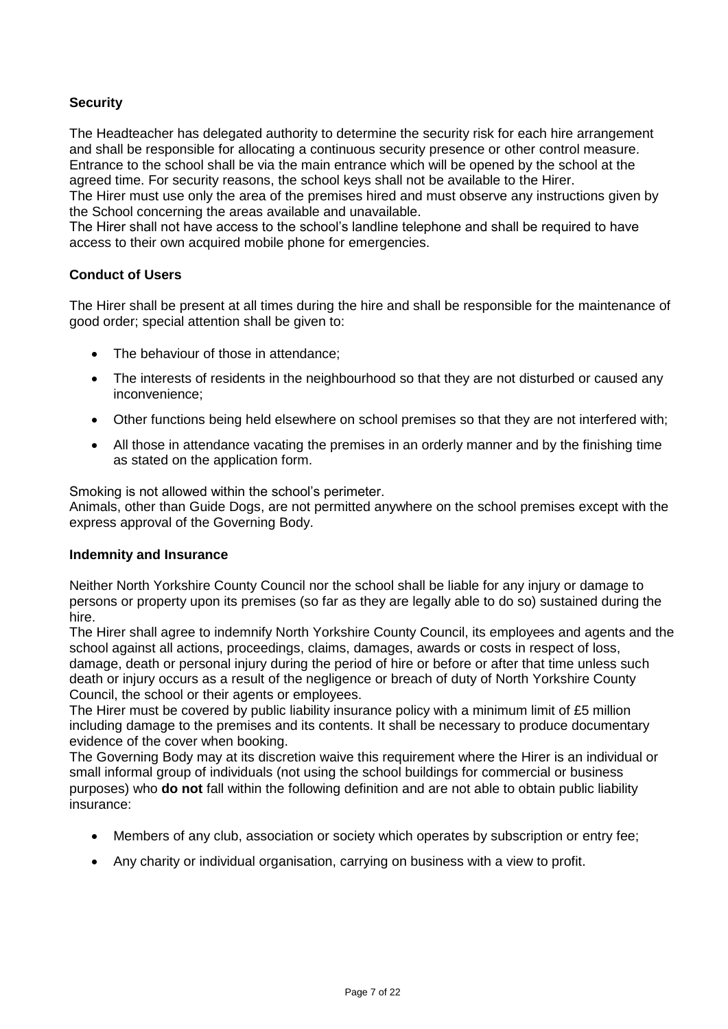## **Security**

The Headteacher has delegated authority to determine the security risk for each hire arrangement and shall be responsible for allocating a continuous security presence or other control measure. Entrance to the school shall be via the main entrance which will be opened by the school at the agreed time. For security reasons, the school keys shall not be available to the Hirer.

The Hirer must use only the area of the premises hired and must observe any instructions given by the School concerning the areas available and unavailable.

The Hirer shall not have access to the school's landline telephone and shall be required to have access to their own acquired mobile phone for emergencies.

#### **Conduct of Users**

The Hirer shall be present at all times during the hire and shall be responsible for the maintenance of good order; special attention shall be given to:

- The behaviour of those in attendance;
- The interests of residents in the neighbourhood so that they are not disturbed or caused any inconvenience;
- Other functions being held elsewhere on school premises so that they are not interfered with;
- All those in attendance vacating the premises in an orderly manner and by the finishing time as stated on the application form.

Smoking is not allowed within the school's perimeter.

Animals, other than Guide Dogs, are not permitted anywhere on the school premises except with the express approval of the Governing Body.

#### **Indemnity and Insurance**

Neither North Yorkshire County Council nor the school shall be liable for any injury or damage to persons or property upon its premises (so far as they are legally able to do so) sustained during the hire.

The Hirer shall agree to indemnify North Yorkshire County Council, its employees and agents and the school against all actions, proceedings, claims, damages, awards or costs in respect of loss, damage, death or personal injury during the period of hire or before or after that time unless such death or injury occurs as a result of the negligence or breach of duty of North Yorkshire County Council, the school or their agents or employees.

The Hirer must be covered by public liability insurance policy with a minimum limit of £5 million including damage to the premises and its contents. It shall be necessary to produce documentary evidence of the cover when booking.

The Governing Body may at its discretion waive this requirement where the Hirer is an individual or small informal group of individuals (not using the school buildings for commercial or business purposes) who **do not** fall within the following definition and are not able to obtain public liability insurance:

- Members of any club, association or society which operates by subscription or entry fee;
- Any charity or individual organisation, carrying on business with a view to profit.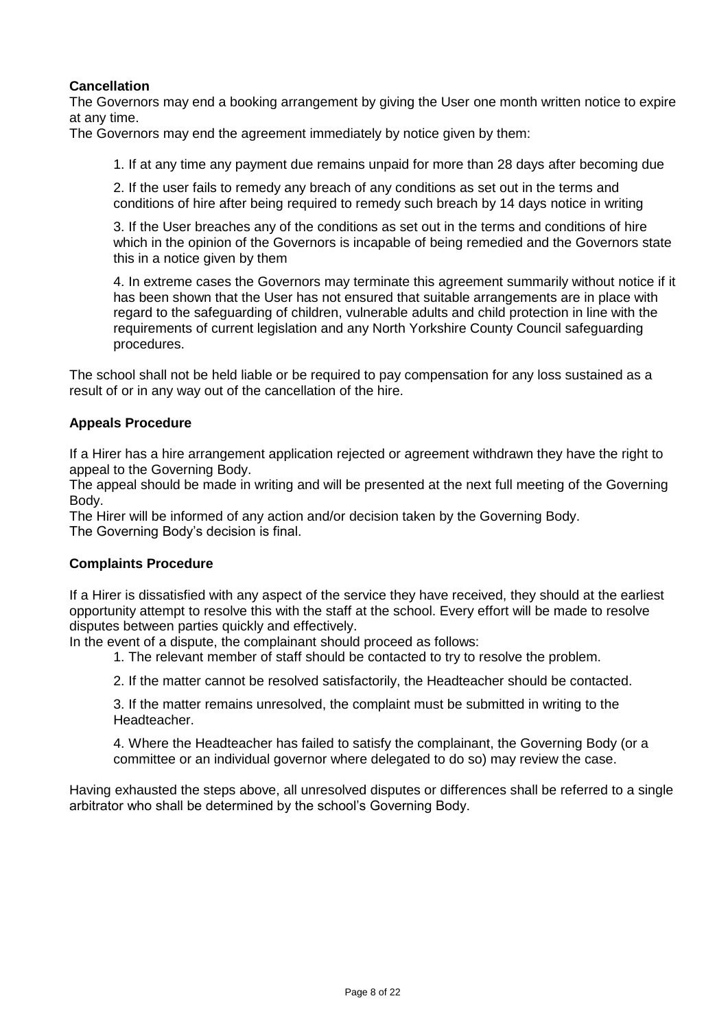## **Cancellation**

The Governors may end a booking arrangement by giving the User one month written notice to expire at any time.

The Governors may end the agreement immediately by notice given by them:

1. If at any time any payment due remains unpaid for more than 28 days after becoming due

2. If the user fails to remedy any breach of any conditions as set out in the terms and conditions of hire after being required to remedy such breach by 14 days notice in writing

3. If the User breaches any of the conditions as set out in the terms and conditions of hire which in the opinion of the Governors is incapable of being remedied and the Governors state this in a notice given by them

4. In extreme cases the Governors may terminate this agreement summarily without notice if it has been shown that the User has not ensured that suitable arrangements are in place with regard to the safeguarding of children, vulnerable adults and child protection in line with the requirements of current legislation and any North Yorkshire County Council safeguarding procedures.

The school shall not be held liable or be required to pay compensation for any loss sustained as a result of or in any way out of the cancellation of the hire.

#### **Appeals Procedure**

If a Hirer has a hire arrangement application rejected or agreement withdrawn they have the right to appeal to the Governing Body.

The appeal should be made in writing and will be presented at the next full meeting of the Governing Body.

The Hirer will be informed of any action and/or decision taken by the Governing Body. The Governing Body's decision is final.

#### **Complaints Procedure**

If a Hirer is dissatisfied with any aspect of the service they have received, they should at the earliest opportunity attempt to resolve this with the staff at the school. Every effort will be made to resolve disputes between parties quickly and effectively.

In the event of a dispute, the complainant should proceed as follows:

1. The relevant member of staff should be contacted to try to resolve the problem.

2. If the matter cannot be resolved satisfactorily, the Headteacher should be contacted.

3. If the matter remains unresolved, the complaint must be submitted in writing to the Headteacher.

4. Where the Headteacher has failed to satisfy the complainant, the Governing Body (or a committee or an individual governor where delegated to do so) may review the case.

Having exhausted the steps above, all unresolved disputes or differences shall be referred to a single arbitrator who shall be determined by the school's Governing Body.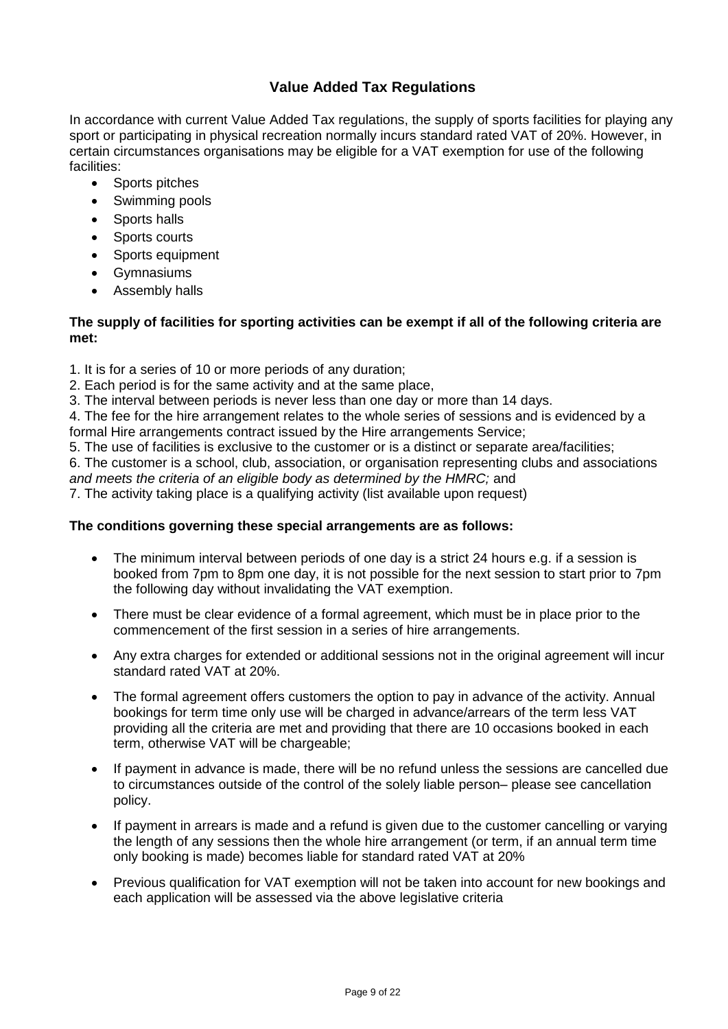# **Value Added Tax Regulations**

In accordance with current Value Added Tax regulations, the supply of sports facilities for playing any sport or participating in physical recreation normally incurs standard rated VAT of 20%. However, in certain circumstances organisations may be eligible for a VAT exemption for use of the following facilities:

- Sports pitches
- Swimming pools
- Sports halls
- Sports courts
- Sports equipment
- Gymnasiums
- Assembly halls

#### **The supply of facilities for sporting activities can be exempt if all of the following criteria are met:**

- 1. It is for a series of 10 or more periods of any duration;
- 2. Each period is for the same activity and at the same place,
- 3. The interval between periods is never less than one day or more than 14 days.
- 4. The fee for the hire arrangement relates to the whole series of sessions and is evidenced by a formal Hire arrangements contract issued by the Hire arrangements Service;
- 5. The use of facilities is exclusive to the customer or is a distinct or separate area/facilities;

6. The customer is a school, club, association, or organisation representing clubs and associations

*and meets the criteria of an eligible body as determined by the HMRC;* and

7. The activity taking place is a qualifying activity (list available upon request)

#### **The conditions governing these special arrangements are as follows:**

- The minimum interval between periods of one day is a strict 24 hours e.g. if a session is booked from 7pm to 8pm one day, it is not possible for the next session to start prior to 7pm the following day without invalidating the VAT exemption.
- There must be clear evidence of a formal agreement, which must be in place prior to the commencement of the first session in a series of hire arrangements.
- Any extra charges for extended or additional sessions not in the original agreement will incur standard rated VAT at 20%.
- The formal agreement offers customers the option to pay in advance of the activity. Annual bookings for term time only use will be charged in advance/arrears of the term less VAT providing all the criteria are met and providing that there are 10 occasions booked in each term, otherwise VAT will be chargeable;
- If payment in advance is made, there will be no refund unless the sessions are cancelled due to circumstances outside of the control of the solely liable person– please see cancellation policy.
- If payment in arrears is made and a refund is given due to the customer cancelling or varying the length of any sessions then the whole hire arrangement (or term, if an annual term time only booking is made) becomes liable for standard rated VAT at 20%
- Previous qualification for VAT exemption will not be taken into account for new bookings and each application will be assessed via the above legislative criteria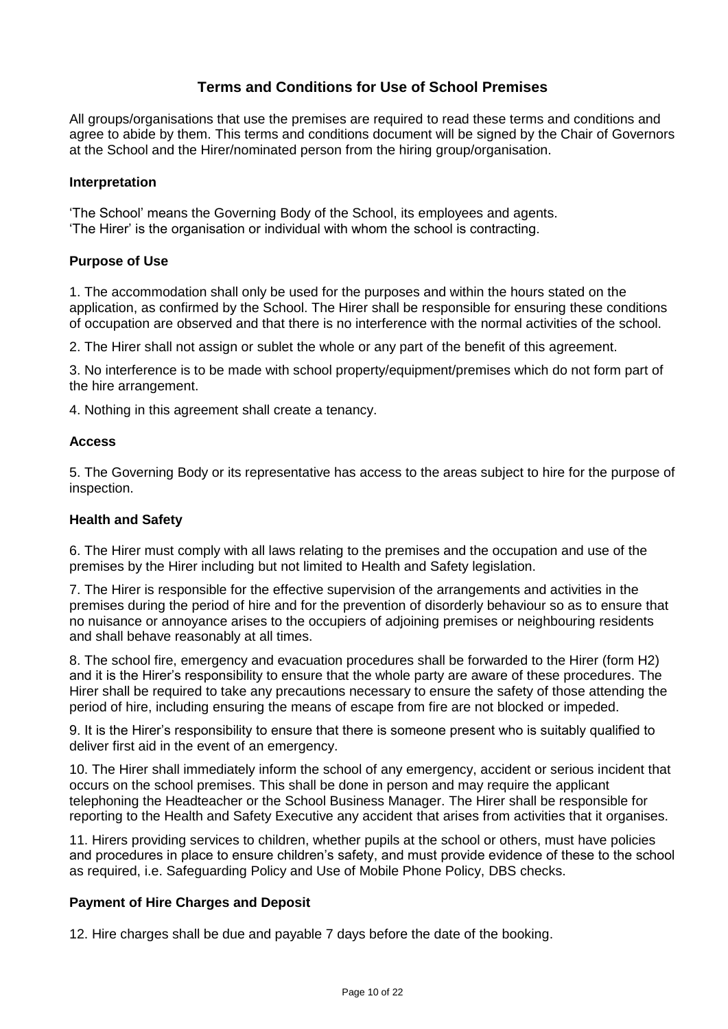# **Terms and Conditions for Use of School Premises**

All groups/organisations that use the premises are required to read these terms and conditions and agree to abide by them. This terms and conditions document will be signed by the Chair of Governors at the School and the Hirer/nominated person from the hiring group/organisation.

#### **Interpretation**

'The School' means the Governing Body of the School, its employees and agents. 'The Hirer' is the organisation or individual with whom the school is contracting.

#### **Purpose of Use**

1. The accommodation shall only be used for the purposes and within the hours stated on the application, as confirmed by the School. The Hirer shall be responsible for ensuring these conditions of occupation are observed and that there is no interference with the normal activities of the school.

2. The Hirer shall not assign or sublet the whole or any part of the benefit of this agreement.

3. No interference is to be made with school property/equipment/premises which do not form part of the hire arrangement.

4. Nothing in this agreement shall create a tenancy.

#### **Access**

5. The Governing Body or its representative has access to the areas subject to hire for the purpose of inspection.

#### **Health and Safety**

6. The Hirer must comply with all laws relating to the premises and the occupation and use of the premises by the Hirer including but not limited to Health and Safety legislation.

7. The Hirer is responsible for the effective supervision of the arrangements and activities in the premises during the period of hire and for the prevention of disorderly behaviour so as to ensure that no nuisance or annoyance arises to the occupiers of adjoining premises or neighbouring residents and shall behave reasonably at all times.

8. The school fire, emergency and evacuation procedures shall be forwarded to the Hirer (form H2) and it is the Hirer's responsibility to ensure that the whole party are aware of these procedures. The Hirer shall be required to take any precautions necessary to ensure the safety of those attending the period of hire, including ensuring the means of escape from fire are not blocked or impeded.

9. It is the Hirer's responsibility to ensure that there is someone present who is suitably qualified to deliver first aid in the event of an emergency.

10. The Hirer shall immediately inform the school of any emergency, accident or serious incident that occurs on the school premises. This shall be done in person and may require the applicant telephoning the Headteacher or the School Business Manager. The Hirer shall be responsible for reporting to the Health and Safety Executive any accident that arises from activities that it organises.

11. Hirers providing services to children, whether pupils at the school or others, must have policies and procedures in place to ensure children's safety, and must provide evidence of these to the school as required, i.e. Safeguarding Policy and Use of Mobile Phone Policy, DBS checks.

#### **Payment of Hire Charges and Deposit**

12. Hire charges shall be due and payable 7 days before the date of the booking.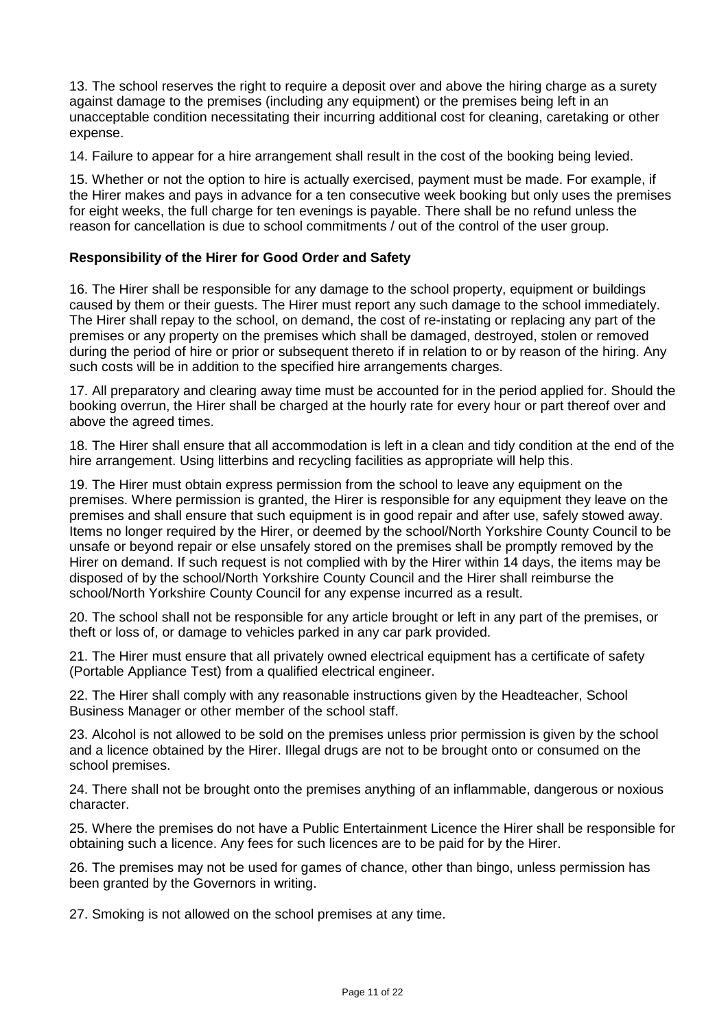13. The school reserves the right to require a deposit over and above the hiring charge as a surety against damage to the premises (including any equipment) or the premises being left in an unacceptable condition necessitating their incurring additional cost for cleaning, caretaking or other expense.

14. Failure to appear for a hire arrangement shall result in the cost of the booking being levied.

15. Whether or not the option to hire is actually exercised, payment must be made. For example, if the Hirer makes and pays in advance for a ten consecutive week booking but only uses the premises for eight weeks, the full charge for ten evenings is payable. There shall be no refund unless the reason for cancellation is due to school commitments / out of the control of the user group.

#### **Responsibility of the Hirer for Good Order and Safety**

16. The Hirer shall be responsible for any damage to the school property, equipment or buildings caused by them or their guests. The Hirer must report any such damage to the school immediately. The Hirer shall repay to the school, on demand, the cost of re-instating or replacing any part of the premises or any property on the premises which shall be damaged, destroyed, stolen or removed during the period of hire or prior or subsequent thereto if in relation to or by reason of the hiring. Any such costs will be in addition to the specified hire arrangements charges.

17. All preparatory and clearing away time must be accounted for in the period applied for. Should the booking overrun, the Hirer shall be charged at the hourly rate for every hour or part thereof over and above the agreed times.

18. The Hirer shall ensure that all accommodation is left in a clean and tidy condition at the end of the hire arrangement. Using litterbins and recycling facilities as appropriate will help this.

19. The Hirer must obtain express permission from the school to leave any equipment on the premises. Where permission is granted, the Hirer is responsible for any equipment they leave on the premises and shall ensure that such equipment is in good repair and after use, safely stowed away. Items no longer required by the Hirer, or deemed by the school/North Yorkshire County Council to be unsafe or beyond repair or else unsafely stored on the premises shall be promptly removed by the Hirer on demand. If such request is not complied with by the Hirer within 14 days, the items may be disposed of by the school/North Yorkshire County Council and the Hirer shall reimburse the school/North Yorkshire County Council for any expense incurred as a result.

20. The school shall not be responsible for any article brought or left in any part of the premises, or theft or loss of, or damage to vehicles parked in any car park provided.

21. The Hirer must ensure that all privately owned electrical equipment has a certificate of safety (Portable Appliance Test) from a qualified electrical engineer.

22. The Hirer shall comply with any reasonable instructions given by the Headteacher, School Business Manager or other member of the school staff.

23. Alcohol is not allowed to be sold on the premises unless prior permission is given by the school and a licence obtained by the Hirer. Illegal drugs are not to be brought onto or consumed on the school premises.

24. There shall not be brought onto the premises anything of an inflammable, dangerous or noxious character.

25. Where the premises do not have a Public Entertainment Licence the Hirer shall be responsible for obtaining such a licence. Any fees for such licences are to be paid for by the Hirer.

26. The premises may not be used for games of chance, other than bingo, unless permission has been granted by the Governors in writing.

27. Smoking is not allowed on the school premises at any time.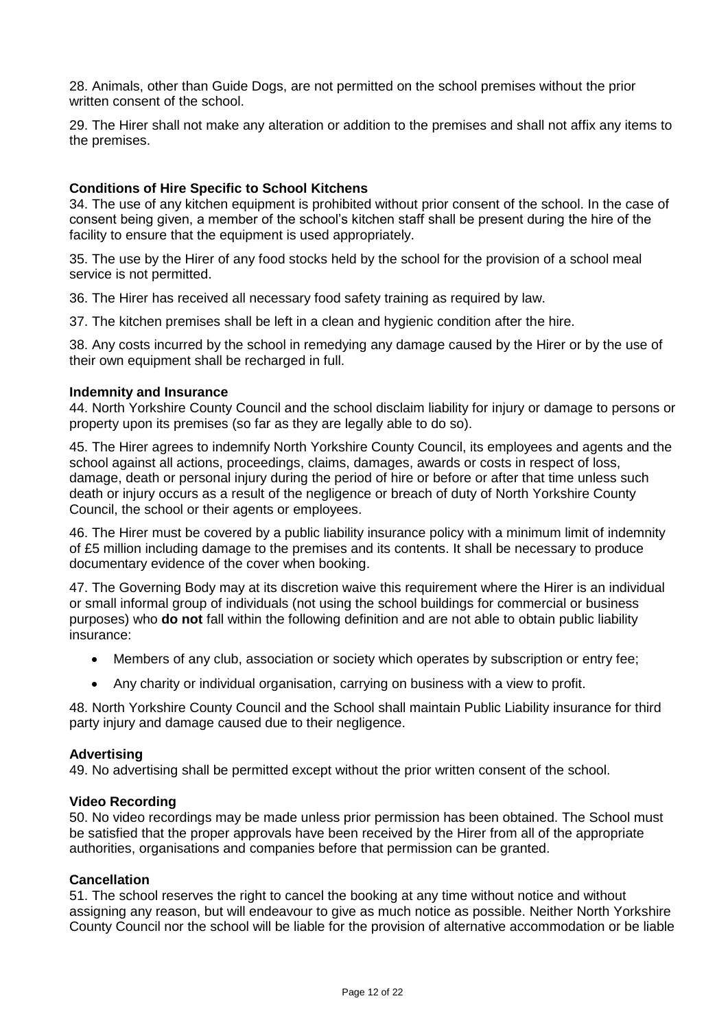28. Animals, other than Guide Dogs, are not permitted on the school premises without the prior written consent of the school.

29. The Hirer shall not make any alteration or addition to the premises and shall not affix any items to the premises.

#### **Conditions of Hire Specific to School Kitchens**

34. The use of any kitchen equipment is prohibited without prior consent of the school. In the case of consent being given, a member of the school's kitchen staff shall be present during the hire of the facility to ensure that the equipment is used appropriately.

35. The use by the Hirer of any food stocks held by the school for the provision of a school meal service is not permitted.

36. The Hirer has received all necessary food safety training as required by law.

37. The kitchen premises shall be left in a clean and hygienic condition after the hire.

38. Any costs incurred by the school in remedying any damage caused by the Hirer or by the use of their own equipment shall be recharged in full.

#### **Indemnity and Insurance**

44. North Yorkshire County Council and the school disclaim liability for injury or damage to persons or property upon its premises (so far as they are legally able to do so).

45. The Hirer agrees to indemnify North Yorkshire County Council, its employees and agents and the school against all actions, proceedings, claims, damages, awards or costs in respect of loss, damage, death or personal injury during the period of hire or before or after that time unless such death or injury occurs as a result of the negligence or breach of duty of North Yorkshire County Council, the school or their agents or employees.

46. The Hirer must be covered by a public liability insurance policy with a minimum limit of indemnity of £5 million including damage to the premises and its contents. It shall be necessary to produce documentary evidence of the cover when booking.

47. The Governing Body may at its discretion waive this requirement where the Hirer is an individual or small informal group of individuals (not using the school buildings for commercial or business purposes) who **do not** fall within the following definition and are not able to obtain public liability insurance:

- Members of any club, association or society which operates by subscription or entry fee;
- Any charity or individual organisation, carrying on business with a view to profit.

48. North Yorkshire County Council and the School shall maintain Public Liability insurance for third party injury and damage caused due to their negligence.

#### **Advertising**

49. No advertising shall be permitted except without the prior written consent of the school.

#### **Video Recording**

50. No video recordings may be made unless prior permission has been obtained. The School must be satisfied that the proper approvals have been received by the Hirer from all of the appropriate authorities, organisations and companies before that permission can be granted.

#### **Cancellation**

51. The school reserves the right to cancel the booking at any time without notice and without assigning any reason, but will endeavour to give as much notice as possible. Neither North Yorkshire County Council nor the school will be liable for the provision of alternative accommodation or be liable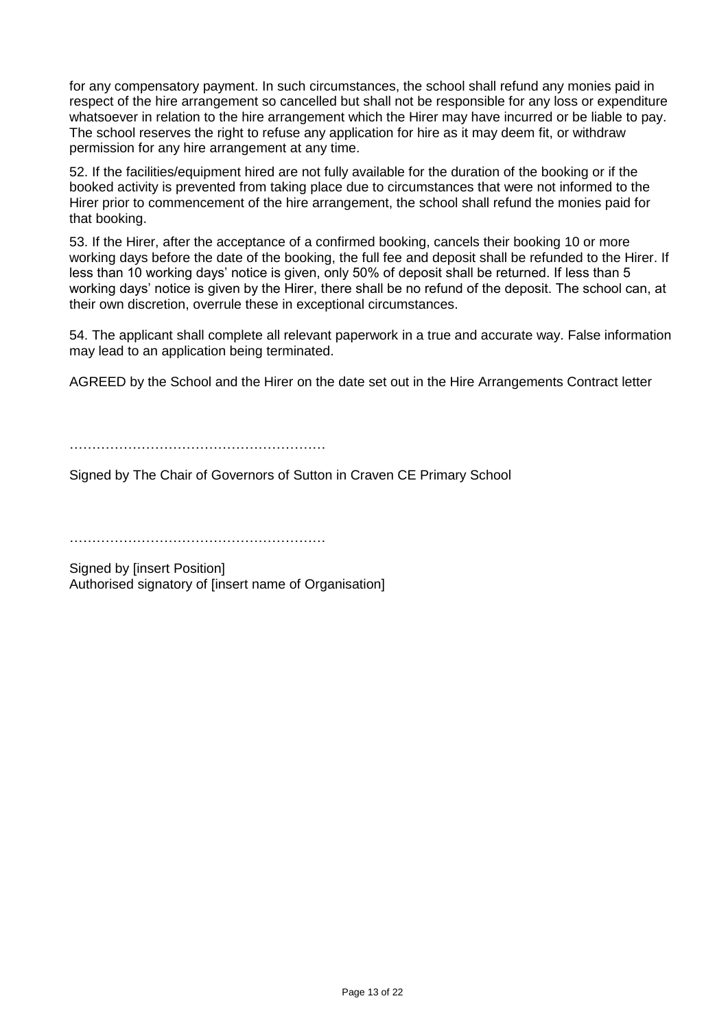for any compensatory payment. In such circumstances, the school shall refund any monies paid in respect of the hire arrangement so cancelled but shall not be responsible for any loss or expenditure whatsoever in relation to the hire arrangement which the Hirer may have incurred or be liable to pay. The school reserves the right to refuse any application for hire as it may deem fit, or withdraw permission for any hire arrangement at any time.

52. If the facilities/equipment hired are not fully available for the duration of the booking or if the booked activity is prevented from taking place due to circumstances that were not informed to the Hirer prior to commencement of the hire arrangement, the school shall refund the monies paid for that booking.

53. If the Hirer, after the acceptance of a confirmed booking, cancels their booking 10 or more working days before the date of the booking, the full fee and deposit shall be refunded to the Hirer. If less than 10 working days' notice is given, only 50% of deposit shall be returned. If less than 5 working days' notice is given by the Hirer, there shall be no refund of the deposit. The school can, at their own discretion, overrule these in exceptional circumstances.

54. The applicant shall complete all relevant paperwork in a true and accurate way. False information may lead to an application being terminated.

AGREED by the School and the Hirer on the date set out in the Hire Arrangements Contract letter

………………………………………………………

Signed by The Chair of Governors of Sutton in Craven CE Primary School

…………………………………………………

Signed by [insert Position] Authorised signatory of [insert name of Organisation]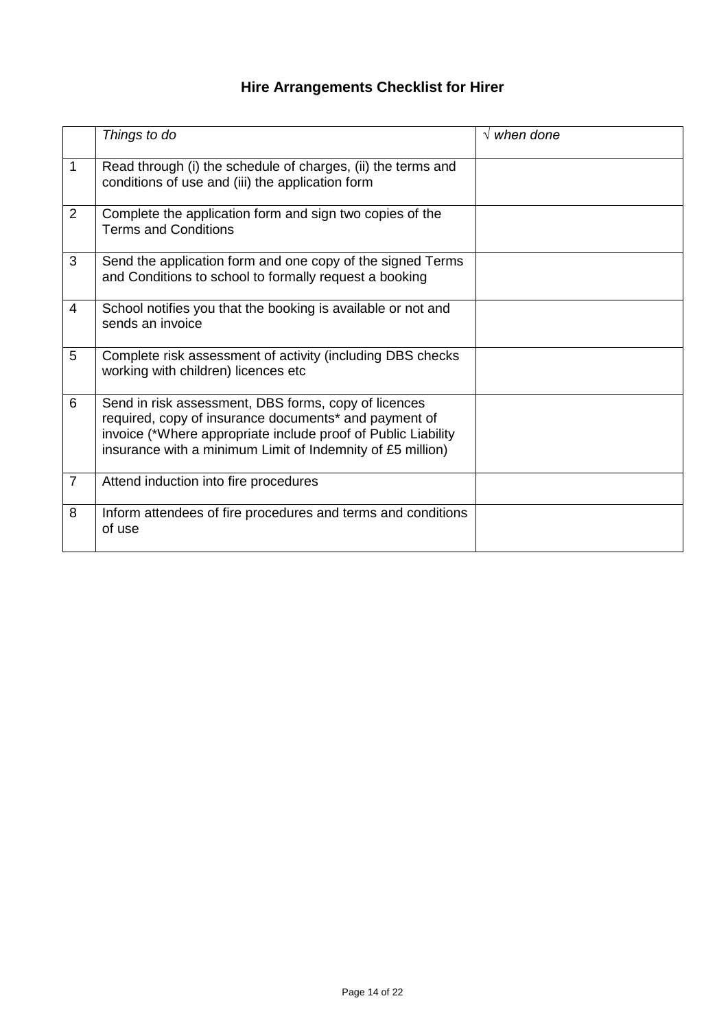# **Hire Arrangements Checklist for Hirer**

|                | Things to do                                                                                                                                                                                                                                 | $\sqrt{$ when done |
|----------------|----------------------------------------------------------------------------------------------------------------------------------------------------------------------------------------------------------------------------------------------|--------------------|
| 1              | Read through (i) the schedule of charges, (ii) the terms and<br>conditions of use and (iii) the application form                                                                                                                             |                    |
| 2              | Complete the application form and sign two copies of the<br><b>Terms and Conditions</b>                                                                                                                                                      |                    |
| 3              | Send the application form and one copy of the signed Terms<br>and Conditions to school to formally request a booking                                                                                                                         |                    |
| $\overline{4}$ | School notifies you that the booking is available or not and<br>sends an invoice                                                                                                                                                             |                    |
| 5              | Complete risk assessment of activity (including DBS checks<br>working with children) licences etc                                                                                                                                            |                    |
| 6              | Send in risk assessment, DBS forms, copy of licences<br>required, copy of insurance documents* and payment of<br>invoice (*Where appropriate include proof of Public Liability<br>insurance with a minimum Limit of Indemnity of £5 million) |                    |
| $\overline{7}$ | Attend induction into fire procedures                                                                                                                                                                                                        |                    |
| 8              | Inform attendees of fire procedures and terms and conditions<br>of use                                                                                                                                                                       |                    |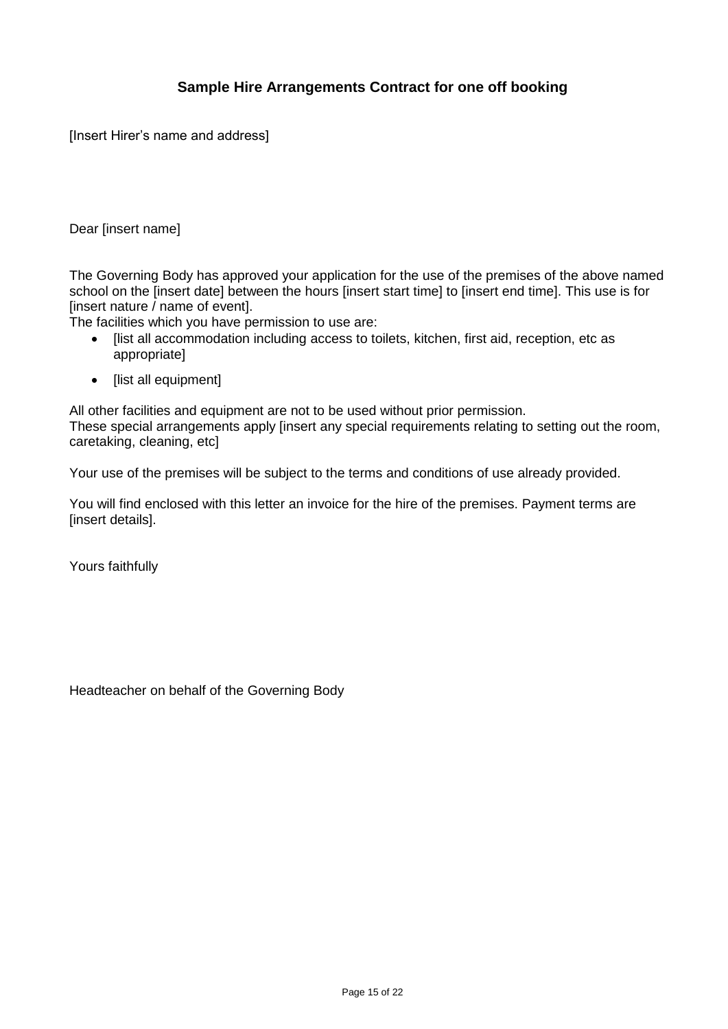# **Sample Hire Arrangements Contract for one off booking**

[Insert Hirer's name and address]

#### Dear [insert name]

The Governing Body has approved your application for the use of the premises of the above named school on the [insert date] between the hours [insert start time] to [insert end time]. This use is for [insert nature / name of event].

The facilities which you have permission to use are:

- [list all accommodation including access to toilets, kitchen, first aid, reception, etc as appropriate]
- [list all equipment]

All other facilities and equipment are not to be used without prior permission. These special arrangements apply [insert any special requirements relating to setting out the room, caretaking, cleaning, etc]

Your use of the premises will be subject to the terms and conditions of use already provided.

You will find enclosed with this letter an invoice for the hire of the premises. Payment terms are [insert details].

Yours faithfully

Headteacher on behalf of the Governing Body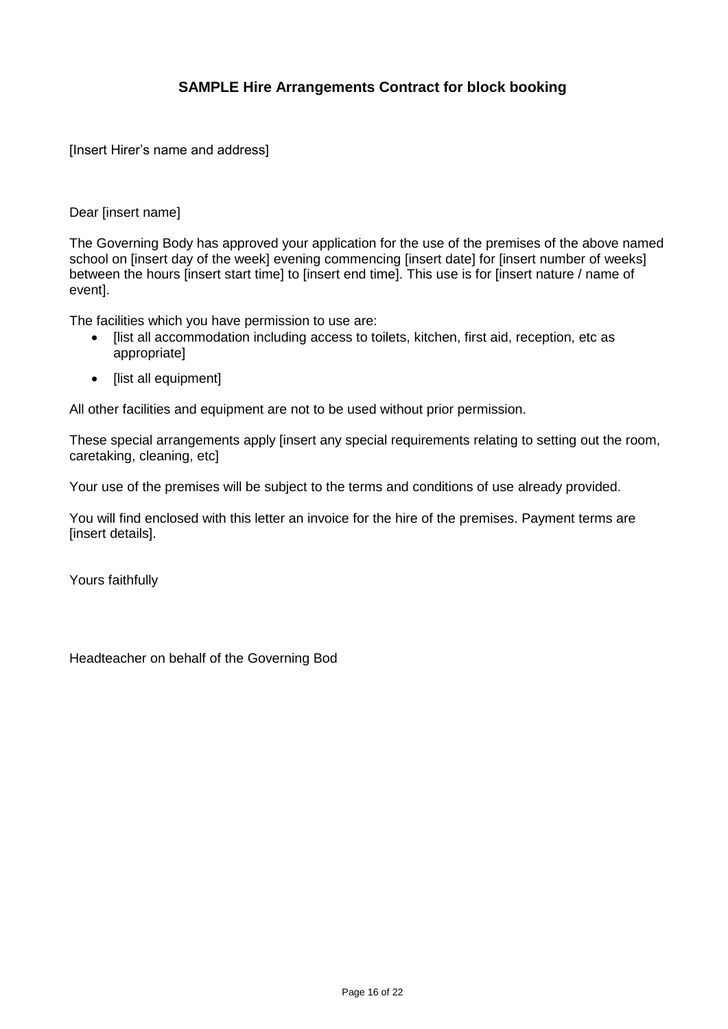# **SAMPLE Hire Arrangements Contract for block booking**

[Insert Hirer's name and address]

#### Dear [insert name]

The Governing Body has approved your application for the use of the premises of the above named school on [insert day of the week] evening commencing [insert date] for [insert number of weeks] between the hours [insert start time] to [insert end time]. This use is for [insert nature / name of event].

The facilities which you have permission to use are:

- Ilist all accommodation including access to toilets, kitchen, first aid, reception, etc as appropriate]
- [list all equipment]

All other facilities and equipment are not to be used without prior permission.

These special arrangements apply [insert any special requirements relating to setting out the room, caretaking, cleaning, etc]

Your use of the premises will be subject to the terms and conditions of use already provided.

You will find enclosed with this letter an invoice for the hire of the premises. Payment terms are [insert details].

Yours faithfully

Headteacher on behalf of the Governing Bod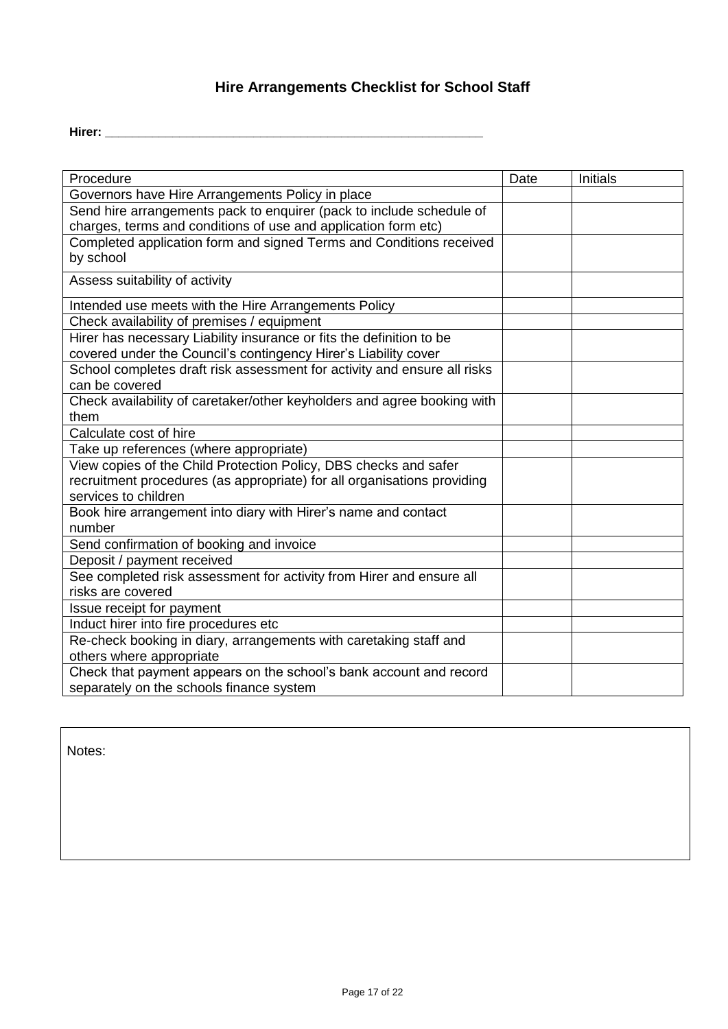# **Hire Arrangements Checklist for School Staff**

**Hirer: \_\_\_\_\_\_\_\_\_\_\_\_\_\_\_\_\_\_\_\_\_\_\_\_\_\_\_\_\_\_\_\_\_\_\_\_\_\_\_\_\_\_\_\_\_\_\_\_\_\_\_\_\_\_\_\_**

| Procedure                                                                | Date | Initials |
|--------------------------------------------------------------------------|------|----------|
| Governors have Hire Arrangements Policy in place                         |      |          |
| Send hire arrangements pack to enquirer (pack to include schedule of     |      |          |
| charges, terms and conditions of use and application form etc)           |      |          |
| Completed application form and signed Terms and Conditions received      |      |          |
| by school                                                                |      |          |
| Assess suitability of activity                                           |      |          |
| Intended use meets with the Hire Arrangements Policy                     |      |          |
| Check availability of premises / equipment                               |      |          |
| Hirer has necessary Liability insurance or fits the definition to be     |      |          |
| covered under the Council's contingency Hirer's Liability cover          |      |          |
| School completes draft risk assessment for activity and ensure all risks |      |          |
| can be covered                                                           |      |          |
| Check availability of caretaker/other keyholders and agree booking with  |      |          |
| them                                                                     |      |          |
| Calculate cost of hire                                                   |      |          |
| Take up references (where appropriate)                                   |      |          |
| View copies of the Child Protection Policy, DBS checks and safer         |      |          |
| recruitment procedures (as appropriate) for all organisations providing  |      |          |
| services to children                                                     |      |          |
| Book hire arrangement into diary with Hirer's name and contact           |      |          |
| number                                                                   |      |          |
| Send confirmation of booking and invoice                                 |      |          |
| Deposit / payment received                                               |      |          |
| See completed risk assessment for activity from Hirer and ensure all     |      |          |
| risks are covered                                                        |      |          |
| Issue receipt for payment                                                |      |          |
| Induct hirer into fire procedures etc                                    |      |          |
| Re-check booking in diary, arrangements with caretaking staff and        |      |          |
| others where appropriate                                                 |      |          |
| Check that payment appears on the school's bank account and record       |      |          |
| separately on the schools finance system                                 |      |          |

Notes: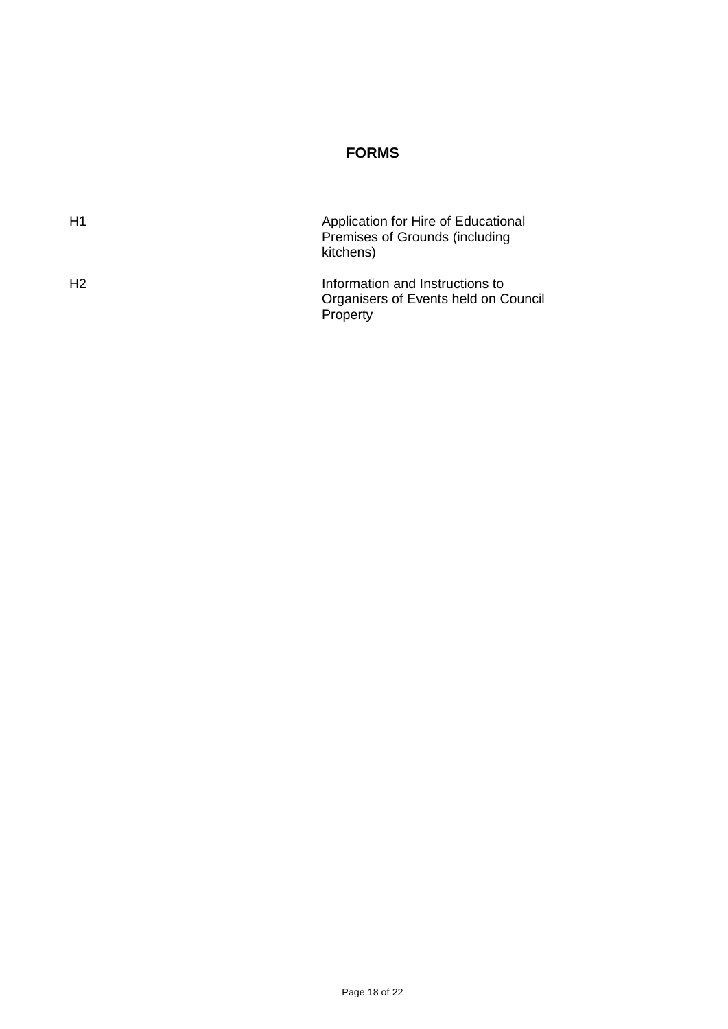# **FORMS**

| H1             | Application for Hire of Educational<br>Premises of Grounds (including<br>kitchens)  |
|----------------|-------------------------------------------------------------------------------------|
| H <sub>2</sub> | Information and Instructions to<br>Organisers of Events held on Council<br>Property |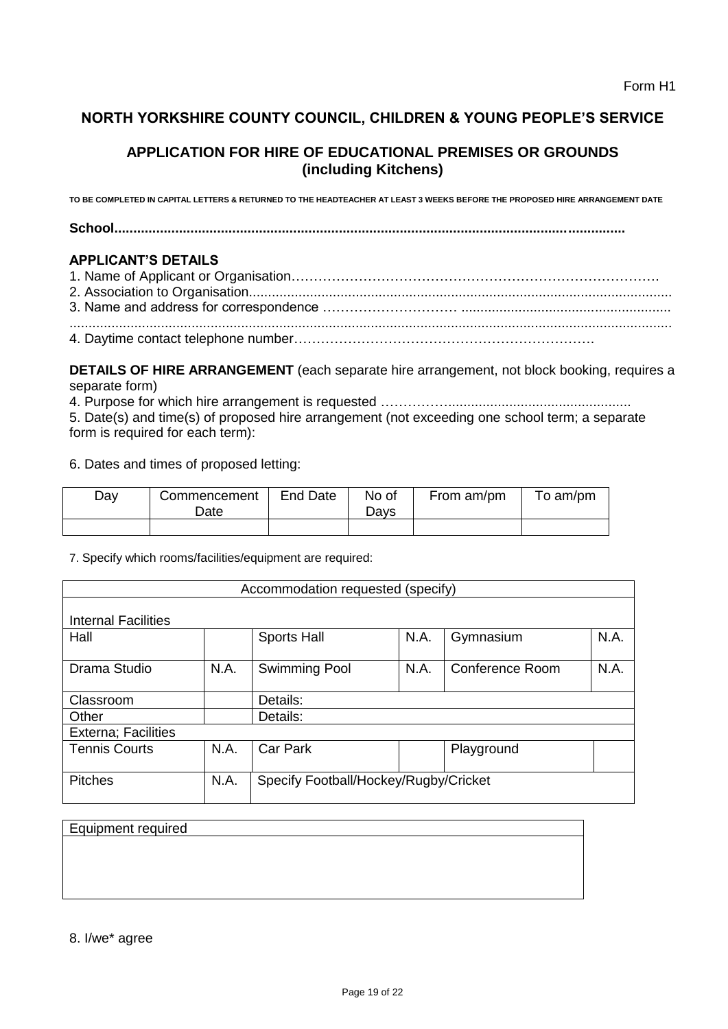# **NORTH YORKSHIRE COUNTY COUNCIL, CHILDREN & YOUNG PEOPLE'S SERVICE**

# **APPLICATION FOR HIRE OF EDUCATIONAL PREMISES OR GROUNDS (including Kitchens)**

**TO BE COMPLETED IN CAPITAL LETTERS & RETURNED TO THE HEADTEACHER AT LEAST 3 WEEKS BEFORE THE PROPOSED HIRE ARRANGEMENT DATE** 

**School......................................................................................................................................** 

#### **APPLICANT'S DETAILS**

**DETAILS OF HIRE ARRANGEMENT** (each separate hire arrangement, not block booking, requires a separate form)

4. Purpose for which hire arrangement is requested ……………................................................

5. Date(s) and time(s) of proposed hire arrangement (not exceeding one school term; a separate form is required for each term):

6. Dates and times of proposed letting:

| Day | Commencement<br>Date | End Date | No of<br>Davs | From am/pm | To am/pm |
|-----|----------------------|----------|---------------|------------|----------|
|     |                      |          |               |            |          |

7. Specify which rooms/facilities/equipment are required:

| Accommodation requested (specify) |      |                                       |      |                        |      |  |
|-----------------------------------|------|---------------------------------------|------|------------------------|------|--|
|                                   |      |                                       |      |                        |      |  |
| Internal Facilities               |      |                                       |      |                        |      |  |
| Hall                              |      | <b>Sports Hall</b>                    | N.A. | Gymnasium              | N.A. |  |
| Drama Studio                      | N.A. | Swimming Pool                         | N.A. | <b>Conference Room</b> | N.A. |  |
| Classroom                         |      | Details:                              |      |                        |      |  |
| Other                             |      | Details:                              |      |                        |      |  |
| <b>Externa</b> ; Facilities       |      |                                       |      |                        |      |  |
| <b>Tennis Courts</b>              | N.A. | <b>Car Park</b>                       |      | Playground             |      |  |
| <b>Pitches</b>                    | N.A. | Specify Football/Hockey/Rugby/Cricket |      |                        |      |  |

| <b>Equipment required</b> |  |  |  |
|---------------------------|--|--|--|
|                           |  |  |  |
|                           |  |  |  |
|                           |  |  |  |
|                           |  |  |  |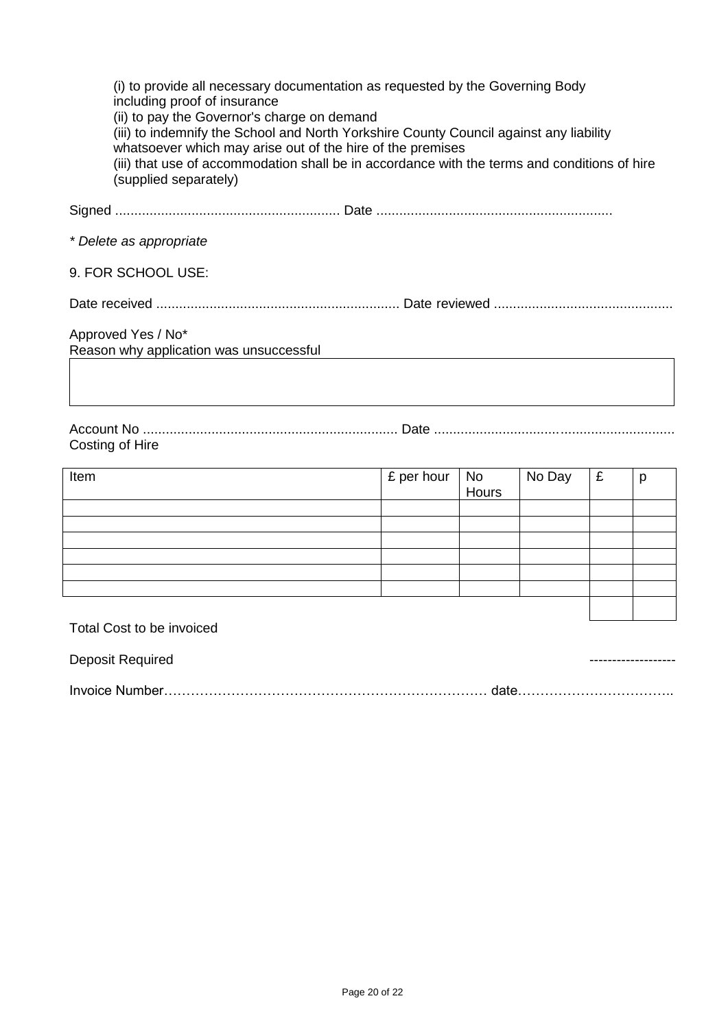| (i) to provide all necessary documentation as requested by the Governing Body<br>including proof of insurance<br>(ii) to pay the Governor's charge on demand<br>(iii) to indemnify the School and North Yorkshire County Council against any liability<br>whatsoever which may arise out of the hire of the premises<br>(iii) that use of accommodation shall be in accordance with the terms and conditions of hire<br>(supplied separately) |
|-----------------------------------------------------------------------------------------------------------------------------------------------------------------------------------------------------------------------------------------------------------------------------------------------------------------------------------------------------------------------------------------------------------------------------------------------|
|                                                                                                                                                                                                                                                                                                                                                                                                                                               |
| * Delete as appropriate                                                                                                                                                                                                                                                                                                                                                                                                                       |
| 9. FOR SCHOOL USE:                                                                                                                                                                                                                                                                                                                                                                                                                            |
|                                                                                                                                                                                                                                                                                                                                                                                                                                               |
| Approved Yes / No*<br>Reason why application was unsuccessful                                                                                                                                                                                                                                                                                                                                                                                 |
|                                                                                                                                                                                                                                                                                                                                                                                                                                               |
|                                                                                                                                                                                                                                                                                                                                                                                                                                               |

# Costing of Hire

| Item | $\epsilon$ per hour No<br>Hours | No Day | £ | p |
|------|---------------------------------|--------|---|---|
|      |                                 |        |   |   |
|      |                                 |        |   |   |
|      |                                 |        |   |   |
|      |                                 |        |   |   |
|      |                                 |        |   |   |
|      |                                 |        |   |   |
|      |                                 |        |   |   |

Total Cost to be invoiced

Deposit Required  $\blacksquare$ 

Invoice Number……………………………………………………………… date……………………………..